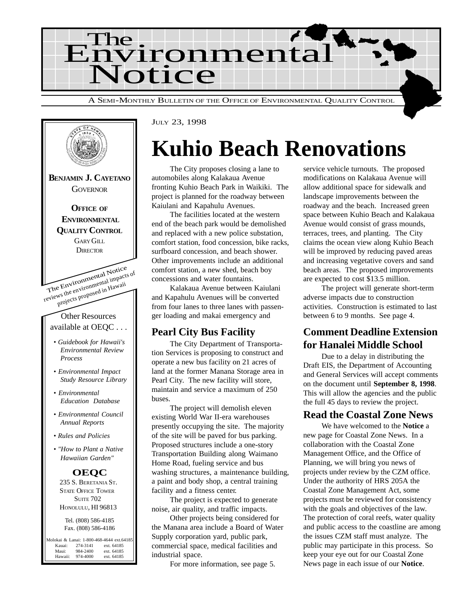



JULY 23, 1998

## **Kuhio Beach Renovations**

The City proposes closing a lane to automobiles along Kalakaua Avenue fronting Kuhio Beach Park in Waikiki. The project is planned for the roadway between Kaiulani and Kapahulu Avenues.

The facilities located at the western end of the beach park would be demolished and replaced with a new police substation, comfort station, food concession, bike racks, surfboard concession, and beach shower. Other improvements include an additional comfort station, a new shed, beach boy concessions and water fountains.

Kalakaua Avenue between Kaiulani and Kapahulu Avenues will be converted from four lanes to three lanes with passenger loading and makai emergency and

## **Pearl City Bus Facility**

The City Department of Transportation Services is proposing to construct and operate a new bus facility on 21 acres of land at the former Manana Storage area in Pearl City. The new facility will store, maintain and service a maximum of 250 buses.

The project will demolish eleven existing World War II-era warehouses presently occupying the site. The majority of the site will be paved for bus parking. Proposed structures include a one-story Transportation Building along Waimano Home Road, fueling service and bus washing structures, a maintenance building, a paint and body shop, a central training facility and a fitness center.

The project is expected to generate noise, air quality, and traffic impacts.

Other projects being considered for the Manana area include a Board of Water Supply corporation yard, public park, commercial space, medical facilities and industrial space.

For more information, see page 5.

service vehicle turnouts. The proposed modifications on Kalakaua Avenue will allow additional space for sidewalk and landscape improvements between the roadway and the beach. Increased green space between Kuhio Beach and Kalakaua Avenue would consist of grass mounds, terraces, trees, and planting. The City claims the ocean view along Kuhio Beach will be improved by reducing paved areas and increasing vegetative covers and sand beach areas. The proposed improvements are expected to cost \$13.5 million.

The project will generate short-term adverse impacts due to construction activities. Construction is estimated to last between 6 to 9 months. See page 4.

## **Comment Deadline Extension for Hanalei Middle School**

Due to a delay in distributing the Draft EIS, the Department of Accounting and General Services will accept comments on the document until **September 8, 1998**. This will allow the agencies and the public the full 45 days to review the project.

### **Read the Coastal Zone News**

We have welcomed to the **Notice** a new page for Coastal Zone News. In a collaboration with the Coastal Zone Management Office, and the Office of Planning, we will bring you news of projects under review by the CZM office. Under the authority of HRS 205A the Coastal Zone Management Act, some projects must be reviewed for consistency with the goals and objectives of the law. The protection of coral reefs, water quality and public access to the coastline are among the issues CZM staff must analyze. The public may participate in this process. So keep your eye out for our Coastal Zone News page in each issue of our **Notice**.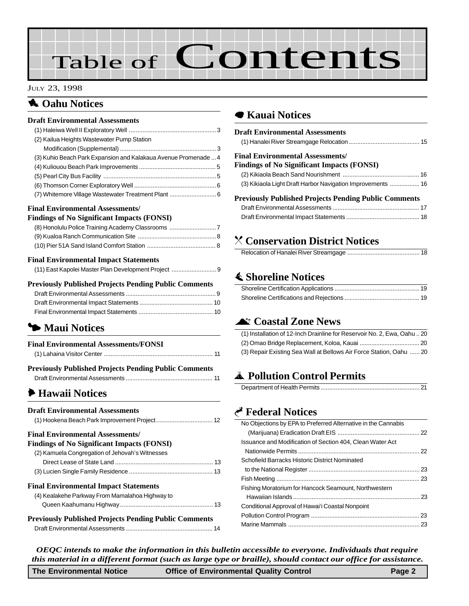# Table of Contents

#### JULY 23, 1998

## **1** Oahu Notices

#### **Draft Environmental Assessments**  $(1)$  Haleiwa Well II Evalenton $(Me^{n})$

| (2) Kailua Heights Wastewater Pump Station                      |  |
|-----------------------------------------------------------------|--|
|                                                                 |  |
| (3) Kuhio Beach Park Expansion and Kalakaua Avenue Promenade  4 |  |
|                                                                 |  |
|                                                                 |  |
|                                                                 |  |
|                                                                 |  |
|                                                                 |  |
|                                                                 |  |

#### **Final Environmental Assessments/**

#### **Findings of No Significant Impacts (FONSI)**

| (8) Honolulu Police Training Academy Classrooms |  |
|-------------------------------------------------|--|
|                                                 |  |
|                                                 |  |

#### **Final Environmental Impact Statements**

| (11) East Kapolei Master Plan Development Project |  |
|---------------------------------------------------|--|

#### **Previously Published Projects Pending Public Comments**

## 3 **Maui Notices**

| <b>Final Environmental Assessments/FONSI</b> |  |
|----------------------------------------------|--|
|                                              |  |

| <b>Previously Published Projects Pending Public Comments</b> |  |
|--------------------------------------------------------------|--|
|                                                              |  |

## 6 **[Hawaii Notices](#page-11-0)**

| <b>Draft Environmental Assessments</b>                       |
|--------------------------------------------------------------|
| <b>Final Environmental Assessments/</b>                      |
| <b>Findings of No Significant Impacts (FONSI)</b>            |
| (2) Kamuela Congregation of Jehovah's Witnesses              |
|                                                              |
|                                                              |
| <b>Final Environmental Impact Statements</b>                 |
| (4) Kealakehe Parkway From Mamalahoa Highway to              |
|                                                              |
| <b>Previously Published Projects Pending Public Comments</b> |
|                                                              |

## 7 **[Kauai Notices](#page-14-0)**

| <b>Draft Environmental Assessments</b>                      |
|-------------------------------------------------------------|
|                                                             |
| <b>Final Environmental Assessments/</b>                     |
| <b>Findings of No Significant Impacts (FONSI)</b>           |
|                                                             |
| (3) Kikiaola Light Draft Harbor Navigation Improvements  16 |
| Previously Published Projects Pending Public Comments       |
|                                                             |
|                                                             |
|                                                             |

## ] **[Conservation District Notices](#page-17-0)**

|--|

## s **[Shoreline Notices](#page-18-0)**

### ^ **Coastal Zone News**

| (1) Installation of 12-Inch Drainline for Reservoir No. 2, Ewa, Oahu  20 |  |
|--------------------------------------------------------------------------|--|
|                                                                          |  |
| (3) Repair Existing Sea Wall at Bellows Air Force Station, Oahu  20      |  |

## V **Pollution Control Permits**

## G **Federal Notices**

| No Objections by EPA to Preferred Alternative in the Cannabis |  |
|---------------------------------------------------------------|--|
|                                                               |  |
| Issuance and Modification of Section 404. Clean Water Act     |  |
|                                                               |  |
| Schofield Barracks Historic District Nominated                |  |
|                                                               |  |
|                                                               |  |
| Fishing Moratorium for Hancock Seamount, Northwestern         |  |
|                                                               |  |
| Conditional Approval of Hawai'i Coastal Nonpoint              |  |
|                                                               |  |
|                                                               |  |
|                                                               |  |

*OEQC intends to make the information in this bulletin accessible to everyone. Individuals that require this material in a different format (such as large type or braille), should contact our office for assistance.*

| The Environmental Notice | <b>Office of Environmental Quality Control</b> | Page 2 |
|--------------------------|------------------------------------------------|--------|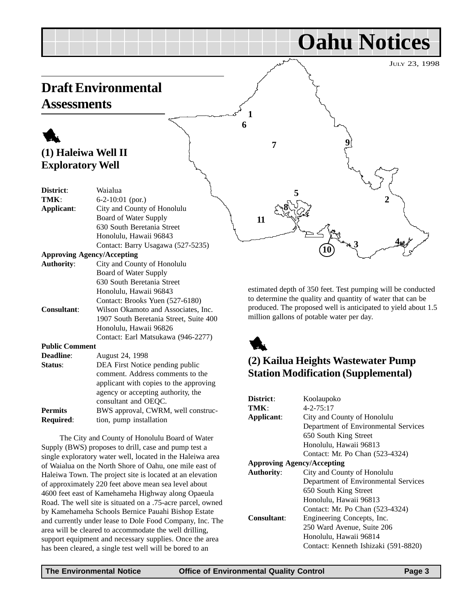<span id="page-2-0"></span>

estimated depth of 350 feet. Test pumping will be conducted to determine the quality and quantity of water that can be produced. The proposed well is anticipated to yield about 1.5 million gallons of potable water per day.



## **(2) Kailua Heights Wastewater Pump Station Modification (Supplemental)**

| District:                         | Koolaupoko                           |  |
|-----------------------------------|--------------------------------------|--|
| TMK:                              | $4 - 2 - 75:17$                      |  |
| Applicant:                        | City and County of Honolulu          |  |
|                                   | Department of Environmental Services |  |
|                                   | 650 South King Street                |  |
|                                   | Honolulu, Hawaii 96813               |  |
|                                   | Contact: Mr. Po Chan (523-4324)      |  |
| <b>Approving Agency/Accepting</b> |                                      |  |
| <b>Authority:</b>                 | City and County of Honolulu          |  |
|                                   | Department of Environmental Services |  |
|                                   | 650 South King Street                |  |
|                                   | Honolulu, Hawaii 96813               |  |
|                                   | Contact: Mr. Po Chan (523-4324)      |  |
| <b>Consultant:</b>                | Engineering Concepts, Inc.           |  |
|                                   | 250 Ward Avenue, Suite 206           |  |
|                                   | Honolulu, Hawaii 96814               |  |
|                                   | Contact: Kenneth Ishizaki (591-8820) |  |

630 South Beretania Street Honolulu, Hawaii 96843

**Consultant**: Wilson Okamoto and Associates, Inc.

**Status:** DEA First Notice pending public

**Public Comment**

**Deadline**: August 24, 1998

**Required:** tion, pump installation

Honolulu, Hawaii 96826

consultant and OEQC. **Permits** BWS approval, CWRM, well construc-

The City and County of Honolulu Board of Water

Supply (BWS) proposes to drill, case and pump test a single exploratory water well, located in the Haleiwa area of Waialua on the North Shore of Oahu, one mile east of Haleiwa Town. The project site is located at an elevation of approximately 220 feet above mean sea level about 4600 feet east of Kamehameha Highway along Opaeula Road. The well site is situated on a .75-acre parcel, owned by Kamehameha Schools Bernice Pauahi Bishop Estate and currently under lease to Dole Food Company, Inc. The area will be cleared to accommodate the well drilling, support equipment and necessary supplies. Once the area has been cleared, a single test well will be bored to an

Contact: Brooks Yuen (527-6180)

1907 South Beretania Street, Suite 400

Contact: Earl Matsukawa (946-2277)

comment. Address comments to the applicant with copies to the approving agency or accepting authority, the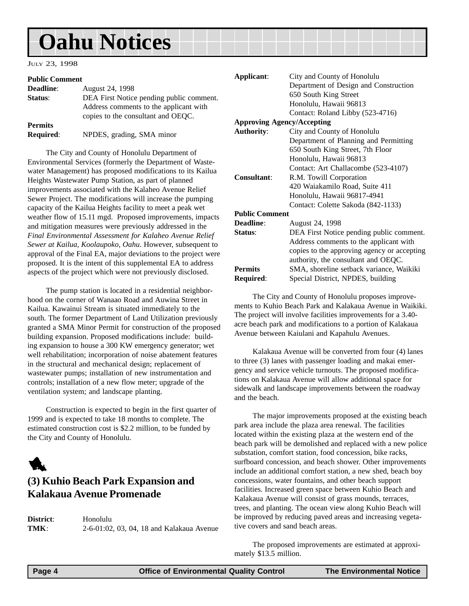#### <span id="page-3-0"></span>JULY 23, 1998

#### **Public Comment**

| <b>Deadline:</b> | August 24, 1998                                                              |
|------------------|------------------------------------------------------------------------------|
| Status:          | DEA First Notice pending public comment.                                     |
|                  | Address comments to the applicant with<br>copies to the consultant and OEOC. |
| Permits          |                                                                              |
| <b>Required:</b> | NPDES, grading, SMA minor                                                    |

The City and County of Honolulu Department of Environmental Services (formerly the Department of Wastewater Management) has proposed modifications to its Kailua Heights Wastewater Pump Station, as part of planned improvements associated with the Kalaheo Avenue Relief Sewer Project. The modifications will increase the pumping capacity of the Kailua Heights facility to meet a peak wet weather flow of 15.11 mgd. Proposed improvements, impacts and mitigation measures were previously addressed in the *Final Environmental Assessment for Kalaheo Avenue Relief Sewer at Kailua, Koolaupoko, Oahu*. However, subsequent to approval of the Final EA, major deviations to the project were proposed. It is the intent of this supplemental EA to address aspects of the project which were not previously disclosed.

The pump station is located in a residential neighborhood on the corner of Wanaao Road and Auwina Street in Kailua. Kawainui Stream is situated immediately to the south. The former Department of Land Utilization previously granted a SMA Minor Permit for construction of the proposed building expansion. Proposed modifications include: building expansion to house a 300 KW emergency generator; wet well rehabilitation; incorporation of noise abatement features in the structural and mechanical design; replacement of wastewater pumps; installation of new instrumentation and controls; installation of a new flow meter; upgrade of the ventilation system; and landscape planting.

Construction is expected to begin in the first quarter of 1999 and is expected to take 18 months to complete. The estimated construction cost is \$2.2 million, to be funded by the City and County of Honolulu.



## **(3) Kuhio Beach Park Expansion and Kalakaua Avenue Promenade**

**District**: Honolulu **TMK**: 2-6-01:02, 03, 04, 18 and Kalakaua Avenue

| Applicant:            | City and County of Honolulu                 |  |
|-----------------------|---------------------------------------------|--|
|                       | Department of Design and Construction       |  |
|                       | 650 South King Street                       |  |
|                       | Honolulu, Hawaii 96813                      |  |
|                       | Contact: Roland Libby (523-4716)            |  |
|                       | <b>Approving Agency/Accepting</b>           |  |
| <b>Authority:</b>     | City and County of Honolulu                 |  |
|                       | Department of Planning and Permitting       |  |
|                       | 650 South King Street, 7th Floor            |  |
|                       | Honolulu, Hawaii 96813                      |  |
|                       | Contact: Art Challacombe (523-4107)         |  |
| <b>Consultant:</b>    | R.M. Towill Corporation                     |  |
|                       | 420 Waiakamilo Road, Suite 411              |  |
|                       | Honolulu, Hawaii 96817-4941                 |  |
|                       | Contact: Colette Sakoda (842-1133)          |  |
| <b>Public Comment</b> |                                             |  |
| <b>Deadline:</b>      | August 24, 1998                             |  |
| Status:               | DEA First Notice pending public comment.    |  |
|                       | Address comments to the applicant with      |  |
|                       | copies to the approving agency or accepting |  |
|                       | authority, the consultant and OEQC.         |  |
| <b>Permits</b>        | SMA, shoreline setback variance, Waikiki    |  |
| Required:             | Special District, NPDES, building           |  |

The City and County of Honolulu proposes improvements to Kuhio Beach Park and Kalakaua Avenue in Waikiki. The project will involve facilities improvements for a 3.40 acre beach park and modifications to a portion of Kalakaua Avenue between Kaiulani and Kapahulu Avenues.

Kalakaua Avenue will be converted from four (4) lanes to three (3) lanes with passenger loading and makai emergency and service vehicle turnouts. The proposed modifications on Kalakaua Avenue will allow additional space for sidewalk and landscape improvements between the roadway and the beach.

The major improvements proposed at the existing beach park area include the plaza area renewal. The facilities located within the existing plaza at the western end of the beach park will be demolished and replaced with a new police substation, comfort station, food concession, bike racks, surfboard concession, and beach shower. Other improvements include an additional comfort station, a new shed, beach boy concessions, water fountains, and other beach support facilities. Increased green space between Kuhio Beach and Kalakaua Avenue will consist of grass mounds, terraces, trees, and planting. The ocean view along Kuhio Beach will be improved by reducing paved areas and increasing vegetative covers and sand beach areas.

The proposed improvements are estimated at approximately \$13.5 million.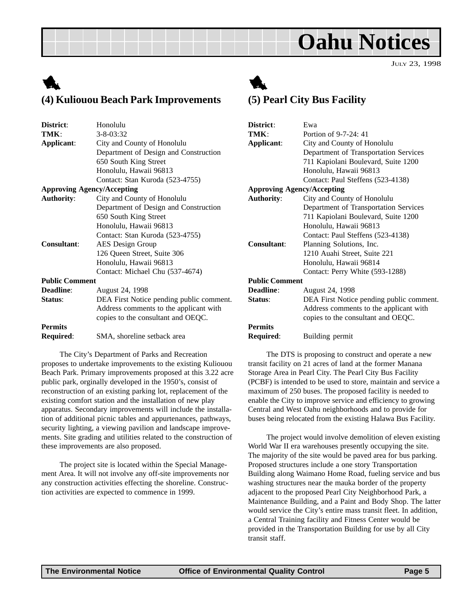JULY 23, 1998

## <span id="page-4-0"></span>1 **(4) Kuliouou Beach Park Improvements**



The City's Department of Parks and Recreation proposes to undertake improvements to the existing Kuliouou Beach Park. Primary improvements proposed at this 3.22 acre public park, orginally developed in the 1950's, consist of reconstruction of an existing parking lot, replacement of the existing comfort station and the installation of new play apparatus. Secondary improvements will include the installation of additional picnic tables and appurtenances, pathways, security lighting, a viewing pavilion and landscape improvements. Site grading and utilities related to the construction of these improvements are also proposed.

The project site is located within the Special Management Area. It will not involve any off-site improvements nor any construction activities effecting the shoreline. Construction activities are expected to commence in 1999.



## **(5) Pearl City Bus Facility**

| District:                                        | Ewa                                      |  |
|--------------------------------------------------|------------------------------------------|--|
| TMK:                                             | Portion of 9-7-24: 41                    |  |
| Applicant:                                       | City and County of Honolulu              |  |
|                                                  | Department of Transportation Services    |  |
|                                                  | 711 Kapiolani Boulevard, Suite 1200      |  |
|                                                  | Honolulu, Hawaii 96813                   |  |
|                                                  | Contact: Paul Steffens (523-4138)        |  |
| <b>Approving Agency/Accepting</b>                |                                          |  |
| <b>Authority:</b><br>City and County of Honolulu |                                          |  |
|                                                  | Department of Transportation Services    |  |
|                                                  | 711 Kapiolani Boulevard, Suite 1200      |  |
|                                                  | Honolulu, Hawaii 96813                   |  |
|                                                  | Contact: Paul Steffens (523-4138)        |  |
| <b>Consultant:</b><br>Planning Solutions, Inc.   |                                          |  |
|                                                  | 1210 Auahi Street, Suite 221             |  |
|                                                  | Honolulu, Hawaii 96814                   |  |
|                                                  | Contact: Perry White (593-1288)          |  |
| <b>Public Comment</b>                            |                                          |  |
| Deadline:                                        | August 24, 1998                          |  |
| Status:                                          | DEA First Notice pending public comment. |  |
|                                                  | Address comments to the applicant with   |  |
|                                                  | copies to the consultant and OEQC.       |  |
| <b>Permits</b>                                   |                                          |  |
| <b>Required:</b>                                 | Building permit                          |  |
|                                                  |                                          |  |

The DTS is proposing to construct and operate a new transit facility on 21 acres of land at the former Manana Storage Area in Pearl City. The Pearl City Bus Facility (PCBF) is intended to be used to store, maintain and service a maximum of 250 buses. The proposed facility is needed to enable the City to improve service and efficiency to growing Central and West Oahu neighborhoods and to provide for buses being relocated from the existing Halawa Bus Facility.

The project would involve demolition of eleven existing World War II era warehouses presently occupying the site. The majority of the site would be paved area for bus parking. Proposed structures include a one story Transportation Building along Waimano Home Road, fueling service and bus washing structures near the mauka border of the property adjacent to the proposed Pearl City Neighborhood Park, a Maintenance Building, and a Paint and Body Shop. The latter would service the City's entire mass transit fleet. In addition, a Central Training facility and Fitness Center would be provided in the Transportation Building for use by all City transit staff.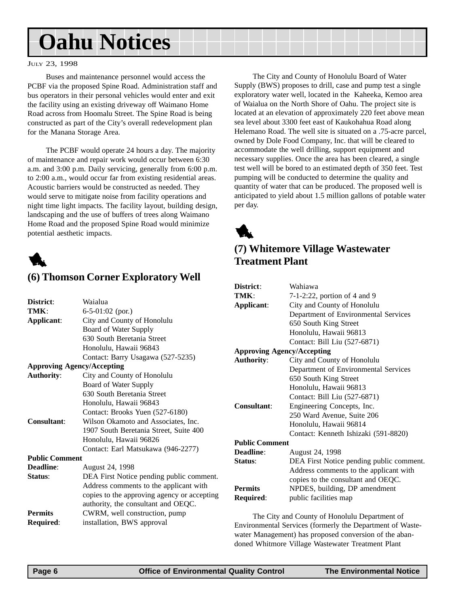#### <span id="page-5-0"></span>JULY 23, 1998

Buses and maintenance personnel would access the PCBF via the proposed Spine Road. Administration staff and bus operators in their personal vehicles would enter and exit the facility using an existing driveway off Waimano Home Road across from Hoomalu Street. The Spine Road is being constructed as part of the City's overall redevelopment plan for the Manana Storage Area.

The PCBF would operate 24 hours a day. The majority of maintenance and repair work would occur between 6:30 a.m. and 3:00 p.m. Daily servicing, generally from 6:00 p.m. to 2:00 a.m., would occur far from existing residential areas. Acoustic barriers would be constructed as needed. They would serve to mitigate noise from facility operations and night time light impacts. The facility layout, building design, landscaping and the use of buffers of trees along Waimano Home Road and the proposed Spine Road would minimize potential aesthetic impacts.



### **(6) Thomson Corner Exploratory Well**

| District:                         | Waialua                                     |
|-----------------------------------|---------------------------------------------|
| TMK:                              | $6-5-01:02$ (por.)                          |
| Applicant:                        | City and County of Honolulu                 |
|                                   | Board of Water Supply                       |
|                                   | 630 South Beretania Street                  |
|                                   | Honolulu, Hawaii 96843                      |
|                                   | Contact: Barry Usagawa (527-5235)           |
| <b>Approving Agency/Accepting</b> |                                             |
| <b>Authority:</b>                 | City and County of Honolulu                 |
|                                   | Board of Water Supply                       |
|                                   | 630 South Beretania Street                  |
|                                   | Honolulu, Hawaii 96843                      |
|                                   | Contact: Brooks Yuen (527-6180)             |
| Consultant:                       | Wilson Okamoto and Associates, Inc.         |
|                                   | 1907 South Beretania Street, Suite 400      |
|                                   | Honolulu, Hawaii 96826                      |
|                                   | Contact: Earl Matsukawa (946-2277)          |
| <b>Public Comment</b>             |                                             |
| <b>Deadline:</b>                  | August 24, 1998                             |
| Status:                           | DEA First Notice pending public comment.    |
|                                   | Address comments to the applicant with      |
|                                   | copies to the approving agency or accepting |
|                                   | authority, the consultant and OEQC.         |
| <b>Permits</b>                    | CWRM, well construction, pump               |
| Required:                         | installation, BWS approval                  |

The City and County of Honolulu Board of Water Supply (BWS) proposes to drill, case and pump test a single exploratory water well, located in the Kaheeka, Kemoo area of Waialua on the North Shore of Oahu. The project site is located at an elevation of approximately 220 feet above mean sea level about 3300 feet east of Kaukohahua Road along Helemano Road. The well site is situated on a .75-acre parcel, owned by Dole Food Company, Inc. that will be cleared to accommodate the well drilling, support equipment and necessary supplies. Once the area has been cleared, a single test well will be bored to an estimated depth of 350 feet. Test pumping will be conducted to determine the quality and quantity of water that can be produced. The proposed well is anticipated to yield about 1.5 million gallons of potable water per day.

1

## **(7) Whitemore Village Wastewater Treatment Plant**

| District:                         | Wahiawa                                  |  |
|-----------------------------------|------------------------------------------|--|
| TMK:                              | $7-1-2:22$ , portion of 4 and 9          |  |
| Applicant:                        | City and County of Honolulu              |  |
|                                   | Department of Environmental Services     |  |
|                                   | 650 South King Street                    |  |
|                                   | Honolulu, Hawaii 96813                   |  |
|                                   | Contact: Bill Liu (527-6871)             |  |
| <b>Approving Agency/Accepting</b> |                                          |  |
| <b>Authority:</b>                 | City and County of Honolulu              |  |
|                                   | Department of Environmental Services     |  |
|                                   | 650 South King Street                    |  |
|                                   | Honolulu, Hawaii 96813                   |  |
|                                   | Contact: Bill Liu (527-6871)             |  |
| Consultant:                       | Engineering Concepts, Inc.               |  |
|                                   | 250 Ward Avenue, Suite 206               |  |
|                                   | Honolulu, Hawaii 96814                   |  |
|                                   | Contact: Kenneth Ishizaki (591-8820)     |  |
| <b>Public Comment</b>             |                                          |  |
| Deadline:                         | August 24, 1998                          |  |
| Status:                           | DEA First Notice pending public comment. |  |
|                                   | Address comments to the applicant with   |  |
|                                   | copies to the consultant and OEQC.       |  |
| <b>Permits</b>                    | NPDES, building, DP amendment            |  |
| Required:                         | public facilities map                    |  |

The City and County of Honolulu Department of Environmental Services (formerly the Department of Wastewater Management) has proposed conversion of the abandoned Whitmore Village Wastewater Treatment Plant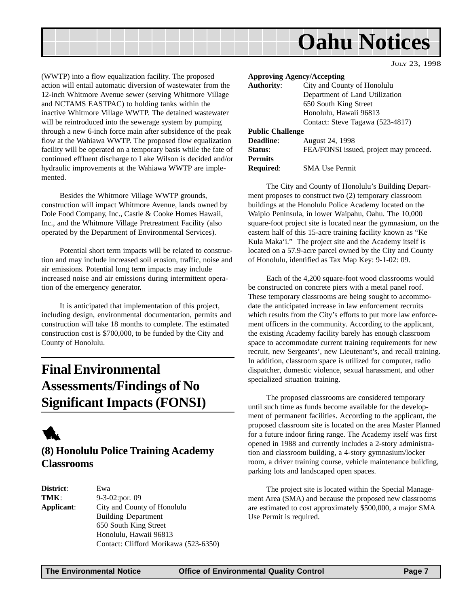<span id="page-6-0"></span>

(WWTP) into a flow equalization facility. The proposed action will entail automatic diversion of wastewater from the 12-inch Whitmore Avenue sewer (serving Whitmore Village and NCTAMS EASTPAC) to holding tanks within the inactive Whitmore Village WWTP. The detained wastewater will be reintroduced into the sewerage system by pumping through a new 6-inch force main after subsidence of the peak flow at the Wahiawa WWTP. The proposed flow equalization facility will be operated on a temporary basis while the fate of continued effluent discharge to Lake Wilson is decided and/or hydraulic improvements at the Wahiawa WWTP are implemented.

Besides the Whitmore Village WWTP grounds, construction will impact Whitmore Avenue, lands owned by Dole Food Company, Inc., Castle & Cooke Homes Hawaii, Inc., and the Whitmore Village Pretreatment Facility (also operated by the Department of Environmental Services).

Potential short term impacts will be related to construction and may include increased soil erosion, traffic, noise and air emissions. Potential long term impacts may include increased noise and air emissions during intermittent operation of the emergency generator.

It is anticipated that implementation of this project, including design, environmental documentation, permits and construction will take 18 months to complete. The estimated construction cost is \$700,000, to be funded by the City and County of Honolulu.

## **Final Environmental Assessments/Findings of No Significant Impacts (FONSI)**



## **(8) Honolulu Police Training Academy Classrooms**

**District**: Ewa **TMK**: 9-3-02:por. 09 **Applicant**: City and County of Honolulu Building Department 650 South King Street Honolulu, Hawaii 96813 Contact: Clifford Morikawa (523-6350)

**Approving Agency/Accepting Authority**: City and County of Honolulu Department of Land Utilization 650 South King Street Honolulu, Hawaii 96813 Contact: Steve Tagawa (523-4817) **Public Challenge Deadline**: August 24, 1998 **Status:** FEA/FONSI issued, project may proceed. **Permits Required**: SMA Use Permit

JULY 23, 1998

The City and County of Honolulu's Building Department proposes to construct two (2) temporary classroom buildings at the Honolulu Police Academy located on the Waipio Peninsula, in lower Waipahu, Oahu. The 10,000 square-foot project site is located near the gymnasium, on the eastern half of this 15-acre training facility known as "Ke Kula Maka'i." The project site and the Academy itself is located on a 57.9-acre parcel owned by the City and County of Honolulu, identified as Tax Map Key: 9-1-02: 09.

Each of the 4,200 square-foot wood classrooms would be constructed on concrete piers with a metal panel roof. These temporary classrooms are being sought to accommodate the anticipated increase in law enforcement recruits which results from the City's efforts to put more law enforcement officers in the community. According to the applicant, the existing Academy facility barely has enough classroom space to accommodate current training requirements for new recruit, new Sergeants', new Lieutenant's, and recall training. In addition, classroom space is utilized for computer, radio dispatcher, domestic violence, sexual harassment, and other specialized situation training.

The proposed classrooms are considered temporary until such time as funds become available for the development of permanent facilities. According to the applicant, the proposed classroom site is located on the area Master Planned for a future indoor firing range. The Academy itself was first opened in 1988 and currently includes a 2-story administration and classroom building, a 4-story gymnasium/locker room, a driver training course, vehicle maintenance building, parking lots and landscaped open spaces.

The project site is located within the Special Management Area (SMA) and because the proposed new classrooms are estimated to cost approximately \$500,000, a major SMA Use Permit is required.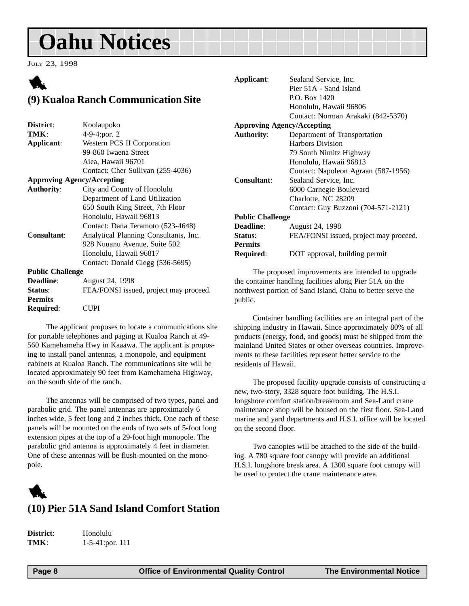<span id="page-7-0"></span>JULY 23, 1998

## 1 **(9) Kualoa Ranch Communication Site**

| District:                         | Koolaupoko                             |
|-----------------------------------|----------------------------------------|
| TMK:                              | 4-9-4:por. 2                           |
| Applicant:                        | Western PCS II Corporation             |
|                                   | 99-860 Iwaena Street                   |
|                                   | Aiea, Hawaii 96701                     |
|                                   | Contact: Cher Sullivan (255-4036)      |
| <b>Approving Agency/Accepting</b> |                                        |
| <b>Authority:</b>                 | City and County of Honolulu            |
|                                   | Department of Land Utilization         |
|                                   | 650 South King Street, 7th Floor       |
|                                   | Honolulu, Hawaii 96813                 |
|                                   | Contact: Dana Teramoto (523-4648)      |
| <b>Consultant:</b>                | Analytical Planning Consultants, Inc.  |
|                                   | 928 Nuuanu Avenue, Suite 502           |
|                                   | Honolulu, Hawaii 96817                 |
|                                   | Contact: Donald Clegg (536-5695)       |
| <b>Public Challenge</b>           |                                        |
| <b>Deadline:</b>                  | August 24, 1998                        |
| Status:                           | FEA/FONSI issued, project may proceed. |
| <b>Permits</b>                    |                                        |
| Required:                         | CUPI                                   |

The applicant proposes to locate a communications site for portable telephones and paging at Kualoa Ranch at 49- 560 Kamehameha Hwy in Kaaawa. The applicant is proposing to install panel antennas, a monopole, and equipment cabinets at Kualoa Ranch. The communications site will be located approximately 90 feet from Kamehameha Highway, on the south side of the ranch.

The antennas will be comprised of two types, panel and parabolic grid. The panel antennas are approximately 6 inches wide, 5 feet long and 2 inches thick. One each of these panels will be mounted on the ends of two sets of 5-foot long extension pipes at the top of a 29-foot high monopole. The parabolic grid antenna is approximately 4 feet in diameter. One of these antennas will be flush-mounted on the monopole.

## 1 **(10) Pier 51A Sand Island Comfort Station**

**District**: Honolulu **TMK**: 1-5-41:por. 111

| Applicant:                        | Sealand Service, Inc.                  |  |
|-----------------------------------|----------------------------------------|--|
|                                   | Pier 51A - Sand Island                 |  |
|                                   | P.O. Box 1420                          |  |
|                                   | Honolulu, Hawaii 96806                 |  |
|                                   | Contact: Norman Arakaki (842-5370)     |  |
| <b>Approving Agency/Accepting</b> |                                        |  |
| <b>Authority:</b>                 | Department of Transportation           |  |
|                                   | <b>Harbors Division</b>                |  |
|                                   | 79 South Nimitz Highway                |  |
|                                   | Honolulu, Hawaii 96813                 |  |
|                                   | Contact: Napoleon Agraan (587-1956)    |  |
| Consultant:                       | Sealand Service, Inc.                  |  |
|                                   | 6000 Carnegie Boulevard                |  |
|                                   | Charlotte, NC 28209                    |  |
|                                   | Contact: Guy Buzzoni (704-571-2121)    |  |
| <b>Public Challenge</b>           |                                        |  |
| <b>Deadline:</b>                  | August 24, 1998                        |  |
| Status:                           | FEA/FONSI issued, project may proceed. |  |
| <b>Permits</b>                    |                                        |  |
| Required:                         | DOT approval, building permit          |  |
|                                   |                                        |  |

The proposed improvements are intended to upgrade the container handling facilities along Pier 51A on the northwest portion of Sand Island, Oahu to better serve the public.

Container handling facilities are an integral part of the shipping industry in Hawaii. Since approximately 80% of all products (energy, food, and goods) must be shipped from the mainland United States or other overseas countries. Improvements to these facilities represent better service to the residents of Hawaii.

The proposed facility upgrade consists of constructing a new, two-story, 3328 square foot building. The H.S.I. longshore comfort station/breakroom and Sea-Land crane maintenance shop will be housed on the first floor. Sea-Land marine and yard departments and H.S.I. office will be located on the second floor.

Two canopies will be attached to the side of the building. A 780 square foot canopy will provide an additional H.S.I. longshore break area. A 1300 square foot canopy will be used to protect the crane maintenance area.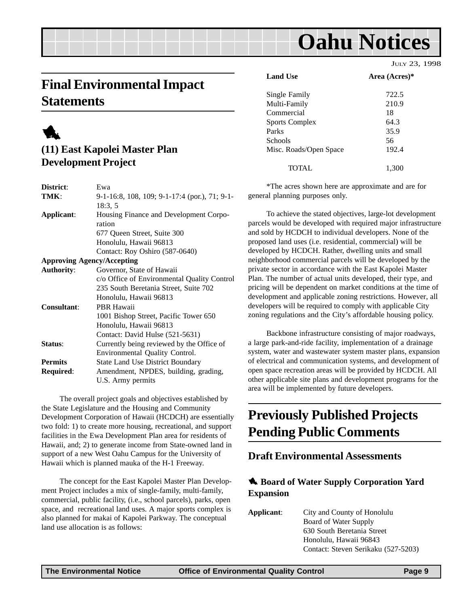## <span id="page-8-0"></span>**Final Environmental Impact Statements**



## **(11) East Kapolei Master Plan Development Project**

| District:          | Ewa                                           |
|--------------------|-----------------------------------------------|
| TMK:               | 9-1-16:8, 108, 109; 9-1-17:4 (por.), 71; 9-1- |
|                    | 18:3, 5                                       |
| Applicant:         | Housing Finance and Development Corpo-        |
|                    | ration                                        |
|                    | 677 Queen Street, Suite 300                   |
|                    | Honolulu, Hawaii 96813                        |
|                    | Contact: Roy Oshiro (587-0640)                |
|                    | <b>Approving Agency/Accepting</b>             |
| <b>Authority:</b>  | Governor, State of Hawaii                     |
|                    | c/o Office of Environmental Quality Control   |
|                    | 235 South Beretania Street, Suite 702         |
|                    | Honolulu, Hawaii 96813                        |
| <b>Consultant:</b> | PBR Hawaii                                    |
|                    | 1001 Bishop Street, Pacific Tower 650         |
|                    | Honolulu, Hawaii 96813                        |
|                    | Contact: David Hulse (521-5631)               |
| Status:            | Currently being reviewed by the Office of     |
|                    | Environmental Quality Control.                |
| <b>Permits</b>     | <b>State Land Use District Boundary</b>       |
| <b>Required:</b>   | Amendment, NPDES, building, grading,          |
|                    | U.S. Army permits                             |
|                    |                                               |

The overall project goals and objectives established by the State Legislature and the Housing and Community Development Corporation of Hawaii (HCDCH) are essentially two fold: 1) to create more housing, recreational, and support facilities in the Ewa Development Plan area for residents of Hawaii, and; 2) to generate income from State-owned land in support of a new West Oahu Campus for the University of Hawaii which is planned mauka of the H-1 Freeway.

The concept for the East Kapolei Master Plan Development Project includes a mix of single-family, multi-family, commercial, public facility, (i.e., school parcels), parks, open space, and recreational land uses. A major sports complex is also planned for makai of Kapolei Parkway. The conceptual land use allocation is as follows:

|                        | JULY 23, 1998 |
|------------------------|---------------|
| <b>Land Use</b>        | Area (Acres)* |
| Single Family          | 722.5         |
| Multi-Family           | 210.9         |
| Commercial             | 18            |
| Sports Complex         | 64.3          |
| Parks                  | 35.9          |
| Schools                | 56            |
| Misc. Roads/Open Space | 192.4         |
| TOTAL                  | 1.300         |

\*The acres shown here are approximate and are for general planning purposes only.

To achieve the stated objectives, large-lot development parcels would be developed with required major infrastructure and sold by HCDCH to individual developers. None of the proposed land uses (i.e. residential, commercial) will be developed by HCDCH. Rather, dwelling units and small neighborhood commercial parcels will be developed by the private sector in accordance with the East Kapolei Master Plan. The number of actual units developed, their type, and pricing will be dependent on market conditions at the time of development and applicable zoning restrictions. However, all developers will be required to comply with applicable City zoning regulations and the City's affordable housing policy.

Backbone infrastructure consisting of major roadways, a large park-and-ride facility, implementation of a drainage system, water and wastewater system master plans, expansion of electrical and communication systems, and development of open space recreation areas will be provided by HCDCH. All other applicable site plans and development programs for the area will be implemented by future developers.

## **Previously Published Projects Pending Public Comments**

### **Draft Environmental Assessments**

### 1 **Board of Water Supply Corporation Yard Expansion**

**Applicant**: City and County of Honolulu Board of Water Supply 630 South Beretania Street Honolulu, Hawaii 96843 Contact: Steven Serikaku (527-5203)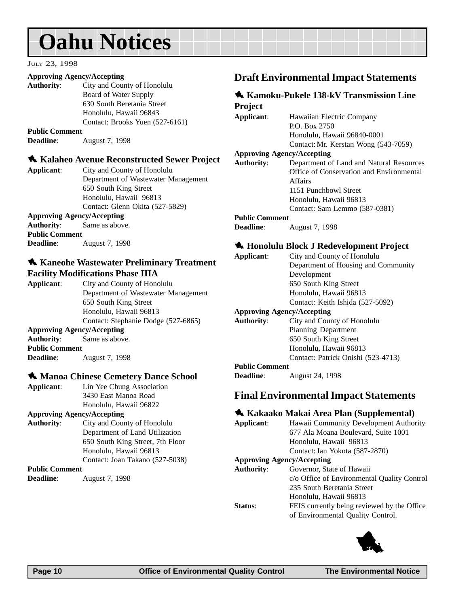#### <span id="page-9-0"></span>JULY 23, 1998

#### **Approving Agency/Accepting**

**Authority**: City and County of Honolulu Board of Water Supply 630 South Beretania Street Honolulu, Hawaii 96843 Contact: Brooks Yuen (527-6161)

**Public Comment**

**Deadline**: August 7, 1998

#### 1 **Kalaheo Avenue Reconstructed Sewer Project**

**Applicant**: City and County of Honolulu Department of Wastewater Management 650 South King Street Honolulu, Hawaii 96813 Contact: Glenn Okita (527-5829) **Approving Agency/Accepting**

**Authority**: Same as above. **Public Comment Deadline**: August 7, 1998

#### $\triangle$  **Kaneohe Wastewater Preliminary Treatment Facility Modifications Phase IIIA**

**Applicant**: City and County of Honolulu Department of Wastewater Management 650 South King Street Honolulu, Hawaii 96813 Contact: Stephanie Dodge (527-6865) **Approving Agency/Accepting Authority**: Same as above. **Public Comment Deadline**: August 7, 1998

#### **1. Manoa Chinese Cemetery Dance School**

**Applicant**: Lin Yee Chung Association 3430 East Manoa Road Honolulu, Hawaii 96822

#### **Approving Agency/Accepting**

**Authority:** City and County of Honolu Department of Land Utiliz 650 South King Street, 7th Honolulu, Hawaii 96813 Contact: Joan Takano (527

#### **Public Comment**

**Deadline**: August 7, 1998

#### **Draft Environmental Impact Statements**

## **1** Kamoku-Pukele 138-kV Transmission Line

**Project Applicant**: Hawaiian Electric Company P.O. Box 2750 Honolulu, Hawaii 96840-0001 Contact: Mr. Kerstan Wong (543-7059) **Approving Agency/Accepting Authority**: Department of Land and Natural Resources Office of Conservation and Environmental Affairs 1151 Punchbowl Street Honolulu, Hawaii 96813 Contact: Sam Lemmo (587-0381) **Public Comment**

**Deadline**: August 7, 1998

#### 1 **Honolulu Block J Redevelopment Project**

| Applicant:                        | City and County of Honolulu         |
|-----------------------------------|-------------------------------------|
|                                   | Department of Housing and Community |
|                                   | Development                         |
|                                   | 650 South King Street               |
|                                   | Honolulu, Hawaii 96813              |
|                                   | Contact: Keith Ishida (527-5092)    |
| <b>Approving Agency/Accepting</b> |                                     |
| <b>Authority:</b>                 | City and County of Honolulu         |
|                                   | <b>Planning Department</b>          |
|                                   | 650 South King Street               |
|                                   | Honolulu, Hawaii 96813              |

Contact: Patrick Onishi (523-4713)

#### **Public Comment**

**Deadline**: August 24, 1998

#### **Final Environmental Impact Statements**

#### 1 **Kakaako Makai Area Plan (Supplemental)**

| ılu     | Applicant:        | Hawaii Community Development Authority      |
|---------|-------------------|---------------------------------------------|
| ation   |                   | 677 Ala Moana Boulevard, Suite 1001         |
| Floor   |                   | Honolulu, Hawaii 96813                      |
|         |                   | Contact: Jan Yokota (587-2870)              |
| $-5038$ |                   | <b>Approving Agency/Accepting</b>           |
|         | <b>Authority:</b> | Governor, State of Hawaii                   |
|         |                   | c/o Office of Environmental Quality Control |
|         |                   | 235 South Beretania Street                  |
|         |                   | Honolulu, Hawaii 96813                      |
|         | Status:           | FEIS currently being reviewed by the Office |
|         |                   | of Environmental Quality Control.           |

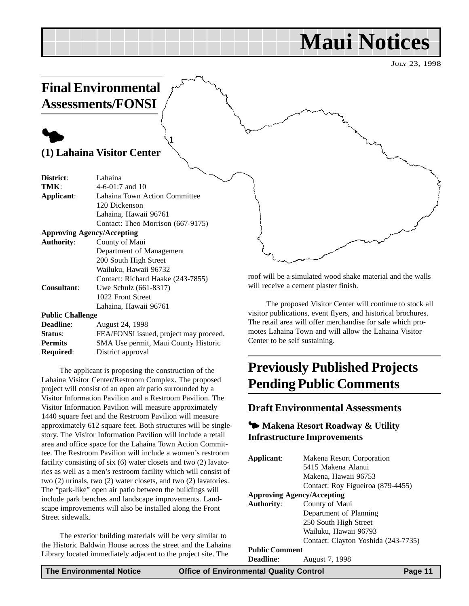## **Maui Notices**

JULY 23, 1998

## <span id="page-10-0"></span>**Final Environmental Assessments/FONSI**

## $\blacklozenge$

### **(1) Lahaina Visitor Center**

| District:               | Lahaina                                |
|-------------------------|----------------------------------------|
| TMK:                    | $4-6-01:7$ and 10                      |
| Applicant:              | Lahaina Town Action Committee          |
|                         | 120 Dickenson                          |
|                         | Lahaina, Hawaii 96761                  |
|                         | Contact: Theo Morrison (667-9175)      |
|                         | <b>Approving Agency/Accepting</b>      |
| <b>Authority:</b>       | County of Maui                         |
|                         | Department of Management               |
|                         | 200 South High Street                  |
|                         | Wailuku, Hawaii 96732                  |
|                         | Contact: Richard Haake (243-7855)      |
| <b>Consultant:</b>      | Uwe Schulz (661-8317)                  |
|                         | 1022 Front Street                      |
|                         | Lahaina, Hawaii 96761                  |
| <b>Public Challenge</b> |                                        |
| Deadline:               | August 24, 1998                        |
| Status:                 | FEA/FONSI issued, project may proceed. |
| <b>Permits</b>          | SMA Use permit, Maui County Historic   |
|                         |                                        |

**1**

**Required**: District approval

The applicant is proposing the construction of the Lahaina Visitor Center/Restroom Complex. The proposed project will consist of an open air patio surrounded by a Visitor Information Pavilion and a Restroom Pavilion. The Visitor Information Pavilion will measure approximately 1440 square feet and the Restroom Pavilion will measure approximately 612 square feet. Both structures will be singlestory. The Visitor Information Pavilion will include a retail area and office space for the Lahaina Town Action Committee. The Restroom Pavilion will include a women's restroom facility consisting of six (6) water closets and two (2) lavatories as well as a men's restroom facility which will consist of two (2) urinals, two (2) water closets, and two (2) lavatories. The "park-like" open air patio between the buildings will include park benches and landscape improvements. Landscape improvements will also be installed along the Front Street sidewalk.

The exterior building materials will be very similar to the Historic Baldwin House across the street and the Lahaina Library located immediately adjacent to the project site. The

roof will be a simulated wood shake material and the walls will receive a cement plaster finish.

The proposed Visitor Center will continue to stock all visitor publications, event flyers, and historical brochures. The retail area will offer merchandise for sale which promotes Lahaina Town and will allow the Lahaina Visitor Center to be self sustaining.

## **Previously Published Projects Pending Public Comments**

### **Draft Environmental Assessments**

### 3 **Makena Resort Roadway & Utility Infrastructure Improvements**

| Applicant:                        | Makena Resort Corporation           |
|-----------------------------------|-------------------------------------|
|                                   | 5415 Makena Alanui                  |
|                                   | Makena, Hawaii 96753                |
|                                   | Contact: Roy Figueiroa (879-4455)   |
| <b>Approving Agency/Accepting</b> |                                     |
| <b>Authority:</b>                 | County of Maui                      |
|                                   | Department of Planning              |
|                                   | 250 South High Street               |
|                                   | Wailuku, Hawaii 96793               |
|                                   | Contact: Clayton Yoshida (243-7735) |
| <b>Public Comment</b>             |                                     |
| <b>Deadline:</b>                  | August 7, 1998                      |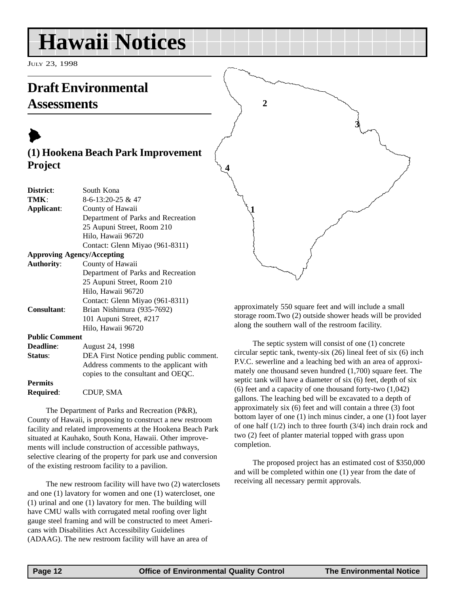## <span id="page-11-0"></span>**Hawaii Notices**

JULY 23, 1998

## **Draft Environmental Assessments**

## $\blacktriangleright$ **(1) Hookena Beach Park Improvement Project**

| District:         | South Kona                         |
|-------------------|------------------------------------|
| TMK:              | 8-6-13:20-25 & 47                  |
| Applicant:        | County of Hawaii                   |
|                   | Department of Parks and Recreation |
|                   | 25 Aupuni Street, Room 210         |
|                   | Hilo, Hawaii 96720                 |
|                   | Contact: Glenn Miyao (961-8311)    |
|                   | <b>Approving Agency/Accepting</b>  |
| <b>Authority:</b> | County of Hawaii                   |
|                   | Department of Parks and Recreation |
|                   | 25 Aupuni Street, Room 210         |
|                   | Hilo, Hawaii 96720                 |
|                   | Contact: Glenn Miyao (961-8311)    |

**Consultant**: Brian Nishimura (935-7692)

approximately 550 square feet and will include a small storage room.Two (2) outside shower heads will be provided along the southern wall of the restroom facility.

**3**

**2**

**1**

**4**

#### The septic system will consist of one (1) concrete circular septic tank, twenty-six (26) lineal feet of six (6) inch P.V.C. sewerline and a leaching bed with an area of approximately one thousand seven hundred (1,700) square feet. The septic tank will have a diameter of six (6) feet, depth of six (6) feet and a capacity of one thousand forty-two (1,042) gallons. The leaching bed will be excavated to a depth of approximately six (6) feet and will contain a three (3) foot bottom layer of one (1) inch minus cinder, a one (1) foot layer of one half (1/2) inch to three fourth (3/4) inch drain rock and two (2) feet of planter material topped with grass upon completion.

The proposed project has an estimated cost of \$350,000 and will be completed within one (1) year from the date of receiving all necessary permit approvals.

### **Public Comment**

**Deadline**: August 24, 1998 **Status:** DEA First Notice pending public comment. Address comments to the applicant with copies to the consultant and OEQC. **Permits**

101 Aupuni Street, #217 Hilo, Hawaii 96720

**Required**: CDUP, SMA

The Department of Parks and Recreation (P&R), County of Hawaii, is proposing to construct a new restroom facility and related improvements at the Hookena Beach Park situated at Kauhako, South Kona, Hawaii. Other improvements will include construction of accessible pathways, selective clearing of the property for park use and conversion of the existing restroom facility to a pavilion.

The new restroom facility will have two (2) waterclosets and one (1) lavatory for women and one (1) watercloset, one (1) urinal and one (1) lavatory for men. The building will have CMU walls with corrugated metal roofing over light gauge steel framing and will be constructed to meet Americans with Disabilities Act Accessibility Guidelines (ADAAG). The new restroom facility will have an area of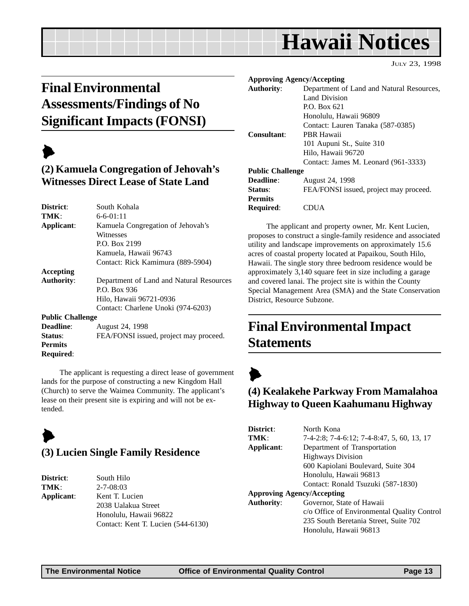## **Hawaii Notices**

JULY 23, 1998

## <span id="page-12-0"></span>**Final Environmental Assessments/Findings of No Significant Impacts (FONSI)**

## $\blacktriangleright$

## **(2) Kamuela Congregation of Jehovah's Witnesses Direct Lease of State Land**

| South Kohala                             |
|------------------------------------------|
| $6 - 6 - 01:11$                          |
| Kamuela Congregation of Jehovah's        |
| Witnesses                                |
| P.O. Box 2199                            |
| Kamuela, Hawaii 96743                    |
| Contact: Rick Kamimura (889-5904)        |
|                                          |
| Department of Land and Natural Resources |
| P.O. Box 936                             |
| Hilo, Hawaii 96721-0936                  |
| Contact: Charlene Unoki (974-6203)       |
| <b>Public Challenge</b>                  |
| August 24, 1998                          |
| FEA/FONSI issued, project may proceed.   |
|                                          |
|                                          |
|                                          |

The applicant is requesting a direct lease of government lands for the purpose of constructing a new Kingdom Hall (Church) to serve the Waimea Community. The applicant's lease on their present site is expiring and will not be extended.

## $\blacktriangleright$

### **(3) Lucien Single Family Residence**

| District:  |
|------------|
| TMK:       |
| Applicant: |

**South Hilo TMK**: 2-7-08:03 **Applicant**: Kent T. Lucien 2038 Ualakua Street Honolulu, Hawaii 96822 Contact: Kent T. Lucien (544-6130)

|                         | <b>Approving Agency/Accepting</b>         |
|-------------------------|-------------------------------------------|
| Authority:              | Department of Land and Natural Resources, |
|                         | Land Division                             |
|                         | P.O. Box 621                              |
|                         | Honolulu, Hawaii 96809                    |
|                         | Contact: Lauren Tanaka (587-0385)         |
| Consultant:             | <b>PBR Hawaii</b>                         |
|                         | 101 Aupuni St., Suite 310                 |
|                         | Hilo, Hawaii 96720                        |
|                         | Contact: James M. Leonard (961-3333)      |
| <b>Public Challenge</b> |                                           |
| Deadline:               | <b>August 24, 1998</b>                    |
| Status:                 | FEA/FONSI issued, project may proceed.    |
| <b>Permits</b>          |                                           |
| <b>Required:</b>        | IIA                                       |

The applicant and property owner, Mr. Kent Lucien, proposes to construct a single-family residence and associated utility and landscape improvements on approximately 15.6 acres of coastal property located at Papaikou, South Hilo, Hawaii. The single story three bedroom residence would be approximately 3,140 square feet in size including a garage and covered lanai. The project site is within the County Special Management Area (SMA) and the State Conservation District, Resource Subzone.

## **Final Environmental Impact Statements**



## **(4) Kealakehe Parkway From Mamalahoa Highway to Queen Kaahumanu Highway**

| District:                         | North Kona                                  |
|-----------------------------------|---------------------------------------------|
| TMK:                              | 7-4-2:8; 7-4-6:12; 7-4-8:47, 5, 60, 13, 17  |
| Applicant:                        | Department of Transportation                |
|                                   | <b>Highways Division</b>                    |
|                                   | 600 Kapiolani Boulevard, Suite 304          |
|                                   | Honolulu, Hawaii 96813                      |
|                                   | Contact: Ronald Tsuzuki (587-1830)          |
| <b>Approving Agency/Accepting</b> |                                             |
| <b>Authority:</b>                 | Governor, State of Hawaii                   |
|                                   | c/o Office of Environmental Quality Control |
|                                   | 235 South Beretania Street, Suite 702       |
|                                   | Honolulu, Hawaii 96813                      |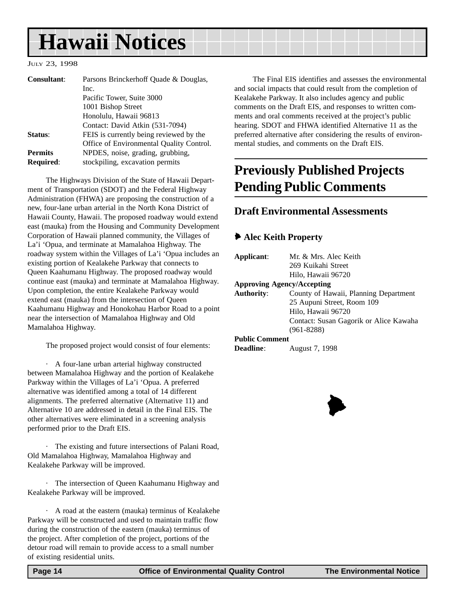## <span id="page-13-0"></span>**Hawaii Notices**

#### JULY 23, 1998

| <b>Consultant:</b> | Parsons Brinckerhoff Quade & Douglas,    |
|--------------------|------------------------------------------|
|                    | Inc.                                     |
|                    | Pacific Tower, Suite 3000                |
|                    | 1001 Bishop Street                       |
|                    | Honolulu, Hawaii 96813                   |
|                    | Contact: David Atkin (531-7094)          |
| Status:            | FEIS is currently being reviewed by the  |
|                    | Office of Environmental Quality Control. |
| <b>Permits</b>     | NPDES, noise, grading, grubbing,         |
| <b>Required:</b>   | stockpiling, excavation permits          |

The Highways Division of the State of Hawaii Department of Transportation (SDOT) and the Federal Highway Administration (FHWA) are proposing the construction of a new, four-lane urban arterial in the North Kona District of Hawaii County, Hawaii. The proposed roadway would extend east (mauka) from the Housing and Community Development Corporation of Hawaii planned community, the Villages of La'i 'Opua, and terminate at Mamalahoa Highway. The roadway system within the Villages of La'i 'Opua includes an existing portion of Kealakehe Parkway that connects to Queen Kaahumanu Highway. The proposed roadway would continue east (mauka) and terminate at Mamalahoa Highway. Upon completion, the entire Kealakehe Parkway would extend east (mauka) from the intersection of Queen Kaahumanu Highway and Honokohau Harbor Road to a point near the intersection of Mamalahoa Highway and Old Mamalahoa Highway.

The proposed project would consist of four elements:

· A four-lane urban arterial highway constructed between Mamalahoa Highway and the portion of Kealakehe Parkway within the Villages of La'i 'Opua. A preferred alternative was identified among a total of 14 different alignments. The preferred alternative (Alternative 11) and Alternative 10 are addressed in detail in the Final EIS. The other alternatives were eliminated in a screening analysis performed prior to the Draft EIS.

· The existing and future intersections of Palani Road, Old Mamalahoa Highway, Mamalahoa Highway and Kealakehe Parkway will be improved.

· The intersection of Queen Kaahumanu Highway and Kealakehe Parkway will be improved.

· A road at the eastern (mauka) terminus of Kealakehe Parkway will be constructed and used to maintain traffic flow during the construction of the eastern (mauka) terminus of the project. After completion of the project, portions of the detour road will remain to provide access to a small number of existing residential units.

The Final EIS identifies and assesses the environmental and social impacts that could result from the completion of Kealakehe Parkway. It also includes agency and public comments on the Draft EIS, and responses to written comments and oral comments received at the project's public hearing. SDOT and FHWA identified Alternative 11 as the preferred alternative after considering the results of environmental studies, and comments on the Draft EIS.

## **Previously Published Projects Pending Public Comments**

### **Draft Environmental Assessments**

#### 6 **Alec Keith Property**

| Applicant:            | Mr. & Mrs. Alec Keith                  |
|-----------------------|----------------------------------------|
|                       | 269 Kuikahi Street                     |
|                       | Hilo, Hawaii 96720                     |
|                       | <b>Approving Agency/Accepting</b>      |
| Authority:            | County of Hawaii, Planning Department  |
|                       | 25 Aupuni Street, Room 109             |
|                       | Hilo, Hawaii 96720                     |
|                       | Contact: Susan Gagorik or Alice Kawaha |
|                       | $(961 - 8288)$                         |
| <b>Public Comment</b> |                                        |
| <b>Deadline:</b>      | August 7, 1998                         |
|                       |                                        |

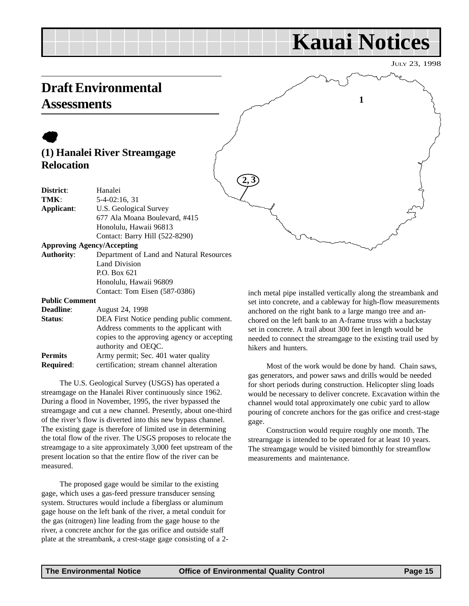## **Kauai Notices**

**1**

JULY 23, 1998

## <span id="page-14-0"></span>**Draft Environmental Assessments**

## $\bullet$ **(1) Hanalei River Streamgage Relocation**

| District:                         | Hanalei                                  |
|-----------------------------------|------------------------------------------|
| TMK:                              | 5-4-02:16, 31                            |
| Applicant:                        | U.S. Geological Survey                   |
|                                   | 677 Ala Moana Boulevard, #415            |
|                                   | Honolulu, Hawaii 96813                   |
|                                   | Contact: Barry Hill (522-8290)           |
| <b>Approving Agency/Accepting</b> |                                          |
| <b>Authority:</b>                 | Department of Land and Natural Resources |
|                                   | Land Division                            |
|                                   | P.O. Box 621                             |
|                                   | Honolulu, Hawaii 96809                   |
|                                   | Contact: Tom Eisen (587-0386)            |
| <b>Public Comment</b>             |                                          |

| August 24, 1998                             |
|---------------------------------------------|
| DEA First Notice pending public comment.    |
| Address comments to the applicant with      |
| copies to the approving agency or accepting |
| authority and OEQC.                         |
| Army permit; Sec. 401 water quality         |
| certification; stream channel alteration    |
|                                             |

The U.S. Geological Survey (USGS) has operated a streamgage on the Hanalei River continuously since 1962. During a flood in November, 1995, the river bypassed the streamgage and cut a new channel. Presently, about one-third of the river's flow is diverted into this new bypass channel. The existing gage is therefore of limited use in determining the total flow of the river. The USGS proposes to relocate the streamgage to a site approximately 3,000 feet upstream of the present location so that the entire flow of the river can be measured.

The proposed gage would be similar to the existing gage, which uses a gas-feed pressure transducer sensing system. Structures would include a fiberglass or aluminum gage house on the left bank of the river, a metal conduit for the gas (nitrogen) line leading from the gage house to the river, a concrete anchor for the gas orifice and outside staff plate at the streambank, a crest-stage gage consisting of a 2-

inch metal pipe installed vertically along the streambank and set into concrete, and a cableway for high-flow measurements anchored on the right bank to a large mango tree and anchored on the left bank to an A-frame truss with a backstay set in concrete. A trail about 300 feet in length would be needed to connect the streamgage to the existing trail used by hikers and hunters.

Most of the work would be done by hand. Chain saws, gas generators, and power saws and drills would be needed for short periods during construction. Helicopter sling loads would be necessary to deliver concrete. Excavation within the channel would total approximately one cubic yard to allow pouring of concrete anchors for the gas orifice and crest-stage gage.

Construction would require roughly one month. The strearngage is intended to be operated for at least 10 years. The streamgage would be visited bimonthly for streamflow measurements and maintenance.

**2, 3**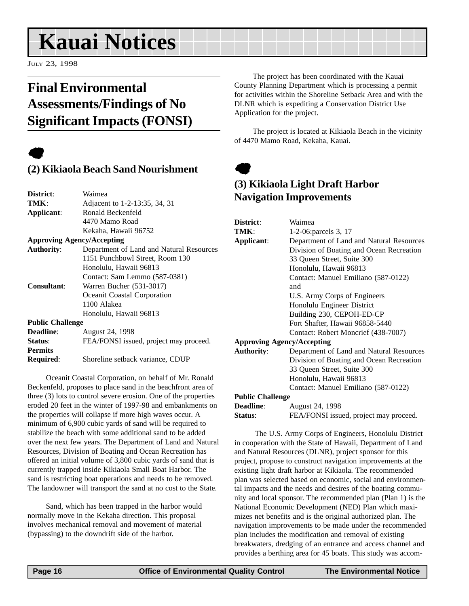## <span id="page-15-0"></span>**Kauai Notices**

JULY 23, 1998

## **Final Environmental Assessments/Findings of No Significant Impacts (FONSI)**

## $\bullet$

## **(2) Kikiaola Beach Sand Nourishment**

| District:                         | Waimea                                   |
|-----------------------------------|------------------------------------------|
| TMK:                              | Adjacent to 1-2-13:35, 34, 31            |
| Applicant:                        | Ronald Beckenfeld                        |
|                                   | 4470 Mamo Road                           |
|                                   | Kekaha, Hawaii 96752                     |
| <b>Approving Agency/Accepting</b> |                                          |
| <b>Authority:</b>                 | Department of Land and Natural Resources |
|                                   | 1151 Punchbowl Street, Room 130          |
|                                   | Honolulu, Hawaii 96813                   |
|                                   | Contact: Sam Lemmo (587-0381)            |
| <b>Consultant:</b>                | Warren Bucher (531-3017)                 |
|                                   | Oceanit Coastal Corporation              |
|                                   | 1100 Alakea                              |
|                                   | Honolulu, Hawaii 96813                   |
| <b>Public Challenge</b>           |                                          |
| <b>Deadline:</b>                  | August 24, 1998                          |
| Status:                           | FEA/FONSI issued, project may proceed.   |
| <b>Permits</b>                    |                                          |
| <b>Required:</b>                  | Shoreline setback variance, CDUP         |
|                                   |                                          |

Oceanit Coastal Corporation, on behalf of Mr. Ronald Beckenfeld, proposes to place sand in the beachfront area of three (3) lots to control severe erosion. One of the properties eroded 20 feet in the winter of 1997-98 and embankments on the properties will collapse if more high waves occur. A minimum of 6,900 cubic yards of sand will be required to stabilize the beach with some additional sand to be added over the next few years. The Department of Land and Natural Resources, Division of Boating and Ocean Recreation has offered an initial volume of 3,800 cubic yards of sand that is currently trapped inside Kikiaola Small Boat Harbor. The sand is restricting boat operations and needs to be removed. The landowner will transport the sand at no cost to the State.

Sand, which has been trapped in the harbor would normally move in the Kekaha direction. This proposal involves mechanical removal and movement of material (bypassing) to the downdrift side of the harbor.

The project has been coordinated with the Kauai County Planning Department which is processing a permit for activities within the Shoreline Setback Area and with the DLNR which is expediting a Conservation District Use Application for the project.

The project is located at Kikiaola Beach in the vicinity of 4470 Mamo Road, Kekaha, Kauai.



## **(3) Kikiaola Light Draft Harbor Navigation Improvements**

| District:                         | Waimea                                   |  |  |  |
|-----------------------------------|------------------------------------------|--|--|--|
| TMK:                              | 1-2-06: parcels 3, 17                    |  |  |  |
| Applicant:                        | Department of Land and Natural Resources |  |  |  |
|                                   | Division of Boating and Ocean Recreation |  |  |  |
|                                   | 33 Queen Street, Suite 300               |  |  |  |
|                                   | Honolulu, Hawaii 96813                   |  |  |  |
|                                   | Contact: Manuel Emiliano (587-0122)      |  |  |  |
|                                   | and                                      |  |  |  |
|                                   | U.S. Army Corps of Engineers             |  |  |  |
|                                   | Honolulu Engineer District               |  |  |  |
|                                   | Building 230, CEPOH-ED-CP                |  |  |  |
|                                   | Fort Shafter, Hawaii 96858-5440          |  |  |  |
|                                   | Contact: Robert Moncrief (438-7007)      |  |  |  |
| <b>Approving Agency/Accepting</b> |                                          |  |  |  |
| <b>Authority:</b>                 | Department of Land and Natural Resources |  |  |  |
|                                   | Division of Boating and Ocean Recreation |  |  |  |
|                                   | 33 Queen Street, Suite 300               |  |  |  |
|                                   | Honolulu, Hawaii 96813                   |  |  |  |
|                                   | Contact: Manuel Emiliano (587-0122)      |  |  |  |
| <b>Public Challenge</b>           |                                          |  |  |  |
| Deadline:                         | August 24, 1998                          |  |  |  |
| Status:                           | FEA/FONSI issued, project may proceed.   |  |  |  |

 The U.S. Army Corps of Engineers, Honolulu District in cooperation with the State of Hawaii, Department of Land and Natural Resources (DLNR), project sponsor for this project, propose to construct navigation improvements at the existing light draft harbor at Kikiaola. The recommended plan was selected based on economic, social and environmental impacts and the needs and desires of the boating community and local sponsor. The recommended plan (Plan 1) is the National Economic Development (NED) Plan which maximizes net benefits and is the original authorized plan. The navigation improvements to be made under the recommended plan includes the modification and removal of existing breakwaters, dredging of an entrance and access channel and provides a berthing area for 45 boats. This study was accom-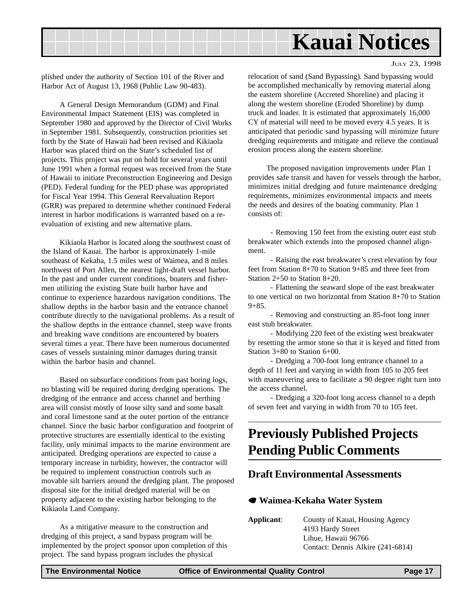<span id="page-16-0"></span>

JULY 23, 1998

plished under the authority of Section 101 of the River and Harbor Act of August 13, 1968 (Public Law 90-483).

A General Design Memorandum (GDM) and Final Environmental Impact Statement (EIS) was completed in September 1980 and approved by the Director of Civil Works in September 1981. Subsequently, construction priorities set forth by the State of Hawaii had been revised and Kikiaola Harbor was placed third on the State's scheduled list of projects. This project was put on hold for several years until June 1991 when a formal request was received from the State of Hawaii to initiate Preconstruction Engineering and Design (PED). Federal funding for the PED phase was appropriated for Fiscal Year 1994. This General Reevaluation Report (GRR) was prepared to determine whether continued Federal interest in harbor modifications is warranted based on a reevaluation of existing and new alternative plans.

Kikiaola Harbor is located along the southwest coast of the Island of Kauai. The harbor is approximately 1-mile southeast of Kekaha, 1.5 miles west of Waimea, and 8 miles northwest of Port Allen, the nearest light-draft vessel harbor. In the past and under current conditions, boaters and fishermen utilizing the existing State built harbor have and continue to experience hazardous navigation conditions. The shallow depths in the harbor basin and the entrance channel contribute directly to the navigational problems. As a result of the shallow depths in the entrance channel, steep wave fronts and breaking wave conditions are encountered by boaters several times a year. There have been numerous documented cases of vessels sustaining minor damages during transit within the harbor basin and channel.

Based on subsurface conditions from past boring logs, no blasting will be required during dredging operations. The dredging of the entrance and access channel and berthing area will consist mostly of loose silty sand and some basalt and coral limestone sand at the outer portion of the entrance channel. Since the basic harbor configuration and footprint of protective structures are essentially identical to the existing facility, only minimal impacts to the marine environment are anticipated. Dredging operations are expected to cause a temporary increase in turbidity, however, the contractor will be required to implement construction controls such as movable silt barriers around the dredging plant. The proposed disposal site for the initial dredged material will be on property adjacent to the existing harbor belonging to the Kikiaola Land Company.

As a mitigative measure to the construction and dredging of this project, a sand bypass program will be implemented by the project sponsor upon completion of this project. The sand bypass program includes the physical

relocation of sand (Sand Bypassing). Sand bypassing would be accomplished mechanically by removing material along the eastern shoreline (Accreted Shoreline) and placing it along the western shoreline (Eroded Shoreline) by dump truck and loader. It is estimated that approximately 16,000 CY of material will need to be moved every 4.5 years. It is anticipated that periodic sand bypassing will minimize future dredging requirements and mitigate and relieve the continual erosion process along the eastern shoreline.

The proposed navigation improvements under Plan 1 provides safe transit and haven for vessels through the harbor, minimizes initial dredging and future maintenance dredging requirements, minimizes environmental impacts and meets the needs and desires of the boating community. Plan 1 consists of:

 - Removing 150 feet from the existing outer east stub breakwater which extends into the proposed channel alignment.

 - Raising the east breakwater's crest elevation by four feet from Station 8+70 to Station 9+85 and three feet from Station 2+50 to Station 8+20.

 - Flattening the seaward slope of the east breakwater to one vertical on two horizontal from Station 8+70 to Station  $9 + 85.$ 

 - Removing and constructing an 85-foot long inner east stub breakwater.

 - Modifying 220 feet of the existing west breakwater by resetting the armor stone so that it is keyed and fitted from Station 3+80 to Station 6+00.

 - Dredging a 700-foot long entrance channel to a depth of 11 feet and varying in width from 105 to 205 feet with maneuvering area to facilitate a 90 degree right turn into the access channel.

 - Dredging a 320-foot long access channel to a depth of seven feet and varying in width from 70 to 105 feet.

## **Previously Published Projects Pending Public Comments**

### **Draft Environmental Assessments**

#### 7 **Waimea-Kekaha Water System**

**Applicant**: County of Kauai, Housing Agency 4193 Hardy Street Lihue, Hawaii 96766 Contact: Dennis Alkire (241-6814)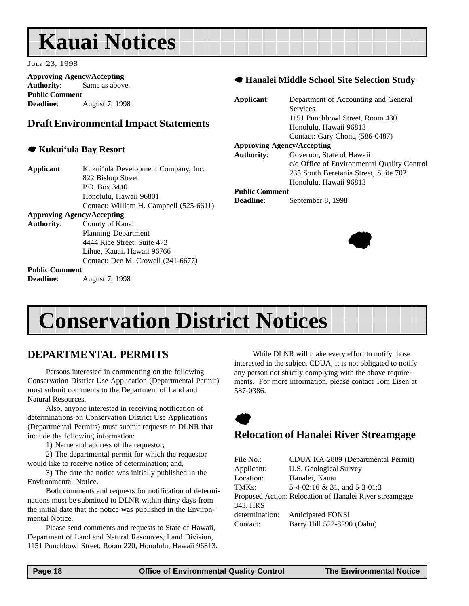## <span id="page-17-0"></span>**Kauai Notices**

JULY 23, 1998

**Approving Agency/Accepting Authority**: Same as above. **Public Comment Deadline**: August 7, 1998

### **Draft Environmental Impact Statements**

#### 7 **Kukui'ula Bay Resort**

- **Applicant**: Kukui'ula Development Company, Inc. 822 Bishop Street P.O. Box 3440 Honolulu, Hawaii 96801 Contact: William H. Campbell (525-6611) **Approving Agency/Accepting**
- **Authority**: County of Kauai Planning Department 4444 Rice Street, Suite 473 Lihue, Kauai, Hawaii 96766 Contact: Dee M. Crowell (241-6677)

### **Public Comment**

**Deadline**: August 7, 1998

#### 7 **Hanalei Middle School Site Selection Study**

| Applicant:        | Department of Accounting and General        |
|-------------------|---------------------------------------------|
|                   | <b>Services</b>                             |
|                   | 1151 Punchbowl Street, Room 430             |
|                   | Honolulu, Hawaii 96813                      |
|                   | Contact: Gary Chong (586-0487)              |
|                   | <b>Approving Agency/Accepting</b>           |
| <b>Authority:</b> | Governor, State of Hawaii                   |
|                   | c/o Office of Environmental Quality Control |
|                   | 235 South Beretania Street, Suite 702       |
|                   | Honolulu, Hawaii 96813                      |
|                   | <b>Public Comment</b>                       |
| <b>Deadline:</b>  | September 8, 1998                           |
|                   |                                             |



## **Conservation District Notices**

## **DEPARTMENTAL PERMITS**

Persons interested in commenting on the following Conservation District Use Application (Departmental Permit) must submit comments to the Department of Land and Natural Resources.

Also, anyone interested in receiving notification of determinations on Conservation District Use Applications (Departmental Permits) must submit requests to DLNR that include the following information:

1) Name and address of the requestor;

2) The departmental permit for which the requestor would like to receive notice of determination; and,

3) The date the notice was initially published in the Environmental Notice.

Both comments and requests for notification of determinations must be submitted to DLNR within thirty days from the initial date that the notice was published in the Environmental Notice.

Please send comments and requests to State of Hawaii, Department of Land and Natural Resources, Land Division, 1151 Punchbowl Street, Room 220, Honolulu, Hawaii 96813.

While DLNR will make every effort to notify those interested in the subject CDUA, it is not obligated to notify any person not strictly complying with the above requirements. For more information, please contact Tom Eisen at 587-0386.



### **Relocation of Hanalei River Streamgage**

| File No.:      | CDUA KA-2889 (Departmental Permit)                      |
|----------------|---------------------------------------------------------|
| Applicant:     | <b>U.S. Geological Survey</b>                           |
| Location:      | Hanalei, Kauai                                          |
| TMKs:          | 5-4-02:16 & 31, and 5-3-01:3                            |
|                | Proposed Action: Relocation of Hanalei River streamgage |
| 343. HRS       |                                                         |
| determination: | <b>Anticipated FONSI</b>                                |
| Contact:       | Barry Hill 522-8290 (Oahu)                              |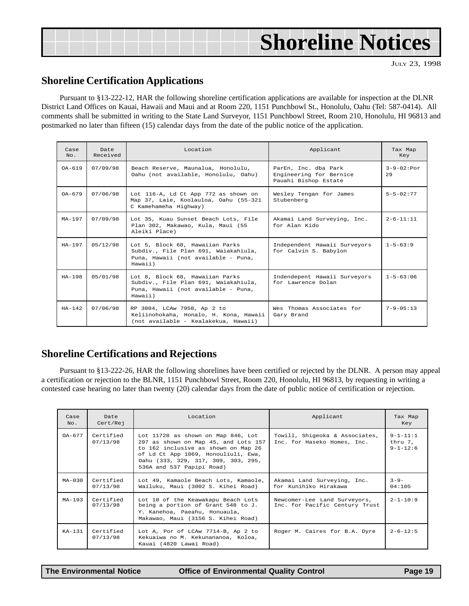<span id="page-18-0"></span>

| <b>Shoreline Notices</b> |  |
|--------------------------|--|
|--------------------------|--|

JULY 23, 1998

### **Shoreline Certification Applications**

Pursuant to §13-222-12, HAR the following shoreline certification applications are available for inspection at the DLNR District Land Offices on Kauai, Hawaii and Maui and at Room 220, 1151 Punchbowl St., Honolulu, Oahu (Tel: 587-0414). All comments shall be submitted in writing to the State Land Surveyor, 1151 Punchbowl Street, Room 210, Honolulu, HI 96813 and postmarked no later than fifteen (15) calendar days from the date of the public notice of the application.

| Case<br>No. | Date<br>Received                                                                       | Location<br>Applicant                                                                                                     |                                                                         | Tax Map<br>Key           |
|-------------|----------------------------------------------------------------------------------------|---------------------------------------------------------------------------------------------------------------------------|-------------------------------------------------------------------------|--------------------------|
| $0A-619$    | 07/09/98<br>Beach Reserve, Maunalua, Honolulu,<br>Oahu (not available, Honolulu, Oahu) |                                                                                                                           | ParEn, Inc. dba Park<br>Engineering for Bernice<br>Pauahi Bishop Estate | $3 - 9 - 02$ : Por<br>29 |
| $0A-679$    | 07/06/98                                                                               | Lot 116-A, Ld Ct App 772 as shown on<br>Map 37, Laie, Koolauloa, Oahu (55-321<br>C Kamehameha Highway)                    | Wesley Tengan for James<br>Stubenberg                                   | $5 - 5 - 02 : 77$        |
| $MA-197$    | 07/09/98                                                                               | Lot 35, Kuau Sunset Beach Lots, File<br>Plan 302, Makawao, Kula, Maui (55<br>Aleiki Place)                                | Akamai Land Surveying, Inc.<br>for Alan Kido                            | $2 - 6 - 11 : 11$        |
| $HA-197$    | 05/12/98                                                                               | Lot 5, Block 68, Hawaiian Parks<br>Subdiv., File Plan 691, Waiakahiula,<br>Puna, Hawaii (not available - Puna,<br>Hawaii) | Independent Hawaii Surveyors<br>for Calvin S. Babylon                   | $1 - 5 - 63:9$           |
| $HA-198$    | 05/01/98                                                                               | Lot 8, Block 68, Hawaiian Parks<br>Subdiv., File Plan 691, Waiakahiula,<br>Puna, Hawaii (not available - Puna,<br>Hawaii) | Indendepent Hawaii Surveyors<br>for Lawrence Dolan                      | $1 - 5 - 63 : 06$        |
| $HA-142$    | 07/06/98                                                                               | RP 3804, LCAw 7958, Ap 2 to<br>Keliinohokaha, Honalo, H. Kona, Hawaii<br>(not available - Kealakekua, Hawaii)             | Wes Thomas Associates for<br>Gary Brand                                 | $7 - 9 - 05 : 13$        |

### **Shoreline Certifications and Rejections**

Pursuant to §13-222-26, HAR the following shorelines have been certified or rejected by the DLNR. A person may appeal a certification or rejection to the BLNR, 1151 Punchbowl Street, Room 220, Honolulu, HI 96813, by requesting in writing a contested case hearing no later than twenty (20) calendar days from the date of public notice of certification or rejection.

| Case<br>No. | Date<br>Cert/Rej      | Location<br>Applicant                                                                                                                                                                                                        |                                                                | Tax Map<br>Key                              |
|-------------|-----------------------|------------------------------------------------------------------------------------------------------------------------------------------------------------------------------------------------------------------------------|----------------------------------------------------------------|---------------------------------------------|
| $OA - 677$  | Certified<br>07/13/98 | Lot 11728 as shown on Map 846, Lot<br>297 as shown on Map 45, and Lots 157<br>to 162 inclusive as shown on Map 26<br>of Ld Ct App 1069, Honouliuli, Ewa,<br>Oahu (333, 329, 317, 309, 303, 295,<br>536A and 537 Papipi Road) | Towill, Shigeoka & Associates,<br>Inc. for Haseko Homes, Inc.  | $9 - 1 - 11:1$<br>thru 7,<br>$9 - 1 - 12:6$ |
| $MA - 0.30$ | Certified<br>07/13/98 | Lot 49, Kamaole Beach Lots, Kamaole,<br>Wailuku, Maui (3002 S. Kihei Road)                                                                                                                                                   | Akamai Land Surveying, Inc.<br>for Kunihiko Hirakawa           | $3 - 9 -$<br>04:105                         |
| $MA-193$    | Certified<br>07/13/98 | Lot 10 of the Keawakapu Beach Lots<br>being a portion of Grant 548 to J.<br>Y. Kanehoa, Paeahu, Honuaula,<br>Makawao, Maui (3156 S. Kihei Road)                                                                              | Newcomer-Lee Land Surveyors,<br>Inc. for Pacific Century Trust | $2 - 1 - 10:9$                              |
| $KA-131$    | Certified<br>07/13/98 | Lot A, Por of LCAw 7714-B, Ap 2 to<br>Kekuaiwa no M. Kekunananoa, Koloa,<br>Kauai (4820 Lawai Road)                                                                                                                          | Roger M. Caires for B.A. Dyre                                  | $2 - 6 - 12:5$                              |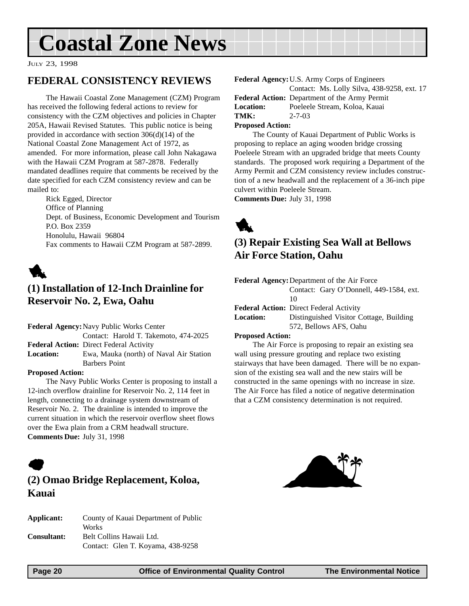## <span id="page-19-0"></span>**Coastal Zone News**

JULY 23, 1998

### **FEDERAL CONSISTENCY REVIEWS**

The Hawaii Coastal Zone Management (CZM) Program has received the following federal actions to review for consistency with the CZM objectives and policies in Chapter 205A, Hawaii Revised Statutes. This public notice is being provided in accordance with section 306(d)(14) of the National Coastal Zone Management Act of 1972, as amended. For more information, please call John Nakagawa with the Hawaii CZM Program at 587-2878. Federally mandated deadlines require that comments be received by the date specified for each CZM consistency review and can be mailed to:

Rick Egged, Director Office of Planning Dept. of Business, Economic Development and Tourism P.O. Box 2359 Honolulu, Hawaii 96804 Fax comments to Hawaii CZM Program at 587-2899.



## **(1) Installation of 12-Inch Drainline for Reservoir No. 2, Ewa, Oahu**

**Federal Agency:**Navy Public Works Center Contact: Harold T. Takemoto, 474-2025 **Federal Action:** Direct Federal Activity **Location:** Ewa, Mauka (north) of Naval Air Station Barbers Point

#### **Proposed Action:**

The Navy Public Works Center is proposing to install a 12-inch overflow drainline for Reservoir No. 2, 114 feet in length, connecting to a drainage system downstream of Reservoir No. 2. The drainline is intended to improve the current situation in which the reservoir overflow sheet flows over the Ewa plain from a CRM headwall structure. **Comments Due:** July 31, 1998



### **(2) Omao Bridge Replacement, Koloa, Kauai**

| Applicant:         | County of Kauai Department of Public<br>Works                 |
|--------------------|---------------------------------------------------------------|
| <b>Consultant:</b> | Belt Collins Hawaii Ltd.<br>Contact: Glen T. Koyama, 438-9258 |

**Federal Agency:**U.S. Army Corps of Engineers Contact: Ms. Lolly Silva, 438-9258, ext. 17 **Federal Action:** Department of the Army Permit **Location:** Poeleele Stream, Koloa, Kauai **TMK:** 2-7-03 **Proposed Action:**

The County of Kauai Department of Public Works is proposing to replace an aging wooden bridge crossing Poeleele Stream with an upgraded bridge that meets County standards. The proposed work requiring a Department of the Army Permit and CZM consistency review includes construction of a new headwall and the replacement of a 36-inch pipe culvert within Poeleele Stream.

**Comments Due:** July 31, 1998



## **(3) Repair Existing Sea Wall at Bellows Air Force Station, Oahu**

| <b>Federal Agency: Department of the Air Force</b> |                                                |  |  |
|----------------------------------------------------|------------------------------------------------|--|--|
|                                                    | Contact: Gary O'Donnell, 449-1584, ext.        |  |  |
|                                                    | 10                                             |  |  |
|                                                    | <b>Federal Action:</b> Direct Federal Activity |  |  |
| <b>Location:</b>                                   | Distinguished Visitor Cottage, Building        |  |  |

#### 572, Bellows AFS, Oahu

#### **Proposed Action:**

The Air Force is proposing to repair an existing sea wall using pressure grouting and replace two existing stairways that have been damaged. There will be no expansion of the existing sea wall and the new stairs will be constructed in the same openings with no increase in size. The Air Force has filed a notice of negative determination that a CZM consistency determination is not required.

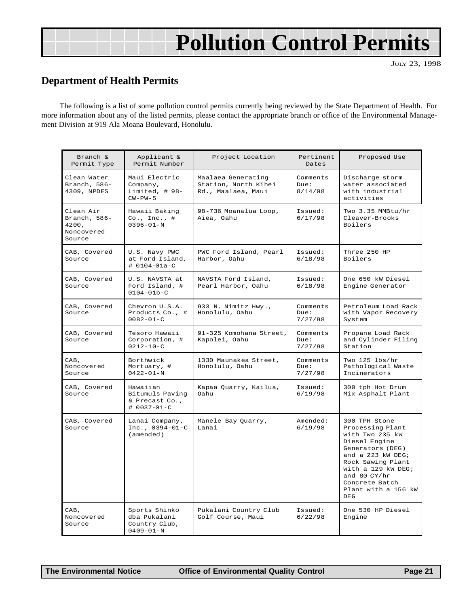## **Pollution Control Permits**

JULY 23, 1998

## <span id="page-20-0"></span>**Department of Health Permits**

The following is a list of some pollution control permits currently being reviewed by the State Department of Health. For more information about any of the listed permits, please contact the appropriate branch or office of the Environmental Management Division at 919 Ala Moana Boulevard, Honolulu.

| Branch &<br>Permit Type                                    | Applicant &<br>Permit Number                                      | Project Location                                                 | Pertinent<br>Dates          | Proposed Use                                                                                                                                                                                                                        |
|------------------------------------------------------------|-------------------------------------------------------------------|------------------------------------------------------------------|-----------------------------|-------------------------------------------------------------------------------------------------------------------------------------------------------------------------------------------------------------------------------------|
| Clean Water<br>Branch, 586-<br>4309, NPDES                 | Maui Electric<br>Company,<br>Limited, # 98-<br>$CW-PW-5$          | Maalaea Generating<br>Station, North Kihei<br>Rd., Maalaea, Maui | Comments<br>Due:<br>8/14/98 | Discharge storm<br>water associated<br>with industrial<br>activities                                                                                                                                                                |
| Clean Air<br>Branch, 586-<br>4200,<br>Noncovered<br>Source | Hawaii Baking<br>$Co.$ , Inc., #<br>$0396 - 01 - N$               | 98-736 Moanalua Loop,<br>Aiea, Oahu                              | Issued:<br>6/17/98          | Two 3.35 MMBtu/hr<br>Cleaver-Brooks<br>Boilers                                                                                                                                                                                      |
| CAB, Covered<br>Source                                     | U.S. Navy PWC<br>at Ford Island,<br>$# 0104 - 01a - C$            | PWC Ford Island, Pearl<br>Harbor, Oahu                           | Issued:<br>6/18/98          | Three 250 HP<br>Boilers                                                                                                                                                                                                             |
| CAB, Covered<br>Source                                     | U.S. NAVSTA at<br>Ford Island, #<br>$0104 - 01b - C$              | NAVSTA Ford Island,<br>Pearl Harbor, Oahu                        | Issued:<br>6/18/98          | One 650 kW Diesel<br>Engine Generator                                                                                                                                                                                               |
| CAB, Covered<br>Source                                     | Chevron U.S.A.<br>Products Co., #<br>$0082 - 01 - C$              | 933 N. Nimitz Hwy.,<br>Honolulu, Oahu                            | Comments<br>Due:<br>7/27/98 | Petroleum Load Rack<br>with Vapor Recovery<br>System                                                                                                                                                                                |
| CAB, Covered<br>Source                                     | Tesoro Hawaii<br>Corporation, #<br>$0212 - 10 - C$                | 91-325 Komohana Street,<br>Kapolei, Oahu                         | Comments<br>Due:<br>7/27/98 | Propane Load Rack<br>and Cylinder Filing<br>Station                                                                                                                                                                                 |
| CAB,<br>Noncovered<br>Source                               | Borthwick<br>Mortuary, #<br>$0422 - 01 - N$                       | 1330 Maunakea Street,<br>Honolulu, Oahu                          | Comments<br>Due:<br>7/27/98 | Two 125 lbs/hr<br>Pathological Waste<br>Incinerators                                                                                                                                                                                |
| CAB, Covered<br>Source                                     | Hawaiian<br>Bitumuls Paving<br>& Precast Co.,<br># 0037-01-C      | Kapaa Quarry, Kailua,<br>Oahu                                    | Issued:<br>6/19/98          | 300 tph Hot Drum<br>Mix Asphalt Plant                                                                                                                                                                                               |
| CAB, Covered<br>Source                                     | Lanai Company,<br>Inc., $0394-01-C$<br>(amended)                  | Manele Bay Quarry,<br>Lanai                                      | Amended:<br>6/19/98         | 300 TPH Stone<br>Processing Plant<br>with Two 235 kW<br>Diesel Engine<br>Generators (DEG)<br>and a 223 kW DEG;<br>Rock Sawing Plant<br>with a 129 kW DEG;<br>and $80 \text{ CY/hr}$<br>Concrete Batch<br>Plant with a 156 kW<br>DEG |
| CAB,<br>Noncovered<br>Source                               | Sports Shinko<br>dba Pukalani<br>Country Club,<br>$0409 - 01 - N$ | Pukalani Country Club<br>Golf Course, Maui                       | Issued:<br>6/22/98          | One 530 HP Diesel<br>Engine                                                                                                                                                                                                         |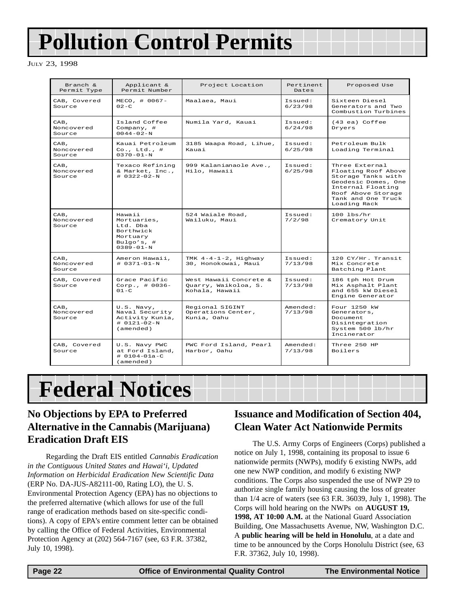## <span id="page-21-0"></span>**Pollution Control Permits**

#### JULY 23, 1998

| Branch &<br>Permit Type      | Applicant &<br>Permit Number                                                                   | Project Location                                                 | Pertinent<br>Dates  | Proposed Use                                                                                                                                                        |
|------------------------------|------------------------------------------------------------------------------------------------|------------------------------------------------------------------|---------------------|---------------------------------------------------------------------------------------------------------------------------------------------------------------------|
| CAB, Covered<br>Source       | MECO, # 0067-<br>$0.2 - C$                                                                     | Maalaea, Maui                                                    | Issued:<br>6/23/98  | Sixteen Diesel<br>Generators and Two<br>Combustion Turbines                                                                                                         |
| CAB,<br>Noncovered<br>Source | Island Coffee<br>Company, $\#$<br>$0044 - 02 - N$                                              | Numila Yard, Kauai                                               | Issued:<br>6/24/98  | (43 ea) Coffee<br>Dryers                                                                                                                                            |
| CAB,<br>Noncovered<br>Source | Kauai Petroleum<br>$Co.$ , Ltd., #<br>$0370 - 01 - N$                                          | 3185 Waapa Road, Lihue,<br>Kauai                                 | Issued:<br>6/25/98  | Petroleum Bulk<br>Loading Terminal                                                                                                                                  |
| CAB.<br>Noncovered<br>Source | Texaco Refining<br>& Market, Inc.,<br>$# 0322 - 02 - N$                                        | 999 Kalanianaole Ave.,<br>Hilo, Hawaii                           | Tssued:<br>6/25/98  | Three External<br>Floating Roof Above<br>Storage Tanks with<br>Geodesic Domes, One<br>Internal Floating<br>Roof Above Storage<br>Tank and One Truck<br>Loading Rack |
| CAB.<br>Noncovered<br>Source | Hawaii<br>Mortuaries.<br>Ltd. Dba<br>Borthwick<br>Mortuary<br>Bulgo's, $\#$<br>$0389 - 01 - N$ | 524 Waiale Road,<br>Wailuku, Maui                                | Issued:<br>7/2/98   | $100$ lbs/hr<br>Crematory Unit                                                                                                                                      |
| CAB.<br>Noncovered<br>Source | Ameron Hawaii,<br>$\#$ 0371-01-N                                                               | TMK $4-4-1-2$ , Highway<br>30, Honokowai, Maui                   | Tssued:<br>7/13/98  | 120 CY/Hr. Transit<br>Mix Concrete<br>Batching Plant                                                                                                                |
| CAB, Covered<br>Source       | Grace Pacific<br>Corp., $\# 0036 -$<br>$01-C$                                                  | West Hawaii Concrete &<br>Quarry, Waikoloa, S.<br>Kohala, Hawaii | Issued:<br>7/13/98  | 186 tph Hot Drum<br>Mix Asphalt Plant<br>and 655 kW Diesel<br>Engine Generator                                                                                      |
| CAB.<br>Noncovered<br>Source | U.S. Navy,<br>Naval Security<br>Activity Kunia,<br>$# 0121 - 02 - N$<br>(amended)              | Regional SIGINT<br>Operations Center,<br>Kunia, Oahu             | Amended:<br>7/13/98 | Four 1250 kW<br>Generators,<br>Document.<br>Disintegration<br>System 500 lb/hr<br>Incinerator                                                                       |
| CAB, Covered<br>Source       | U.S. Navy PWC<br>at Ford Island,<br>$# 0104 - 01a - C$<br>(amended)                            | PWC Ford Island, Pearl<br>Harbor, Oahu                           | Amended:<br>7/13/98 | Three 250 HP<br><b>Boilers</b>                                                                                                                                      |

## **Federal Notices**

## **No Objections by EPA to Preferred Alternative in the Cannabis (Marijuana) Eradication Draft EIS**

Regarding the Draft EIS entitled *Cannabis Eradication in the Contiguous United States and Hawai'i, Updated Information on Herbicidal Eradication New Scientific Data* (ERP No. DA-JUS-A82111-00, Rating LO), the U. S. Environmental Protection Agency (EPA) has no objections to the preferred alternative (which allows for use of the full range of eradication methods based on site-specific conditions). A copy of EPA's entire comment letter can be obtained by calling the Office of Federal Activities, Environmental Protection Agency at (202) 564-7167 (see, 63 F.R. 37382, July 10, 1998).

## **Issuance and Modification of Section 404, Clean Water Act Nationwide Permits**

The U.S. Army Corps of Engineers (Corps) published a notice on July 1, 1998, containing its proposal to issue 6 nationwide permits (NWPs), modify 6 existing NWPs, add one new NWP condition, and modify 6 existing NWP conditions. The Corps also suspended the use of NWP 29 to authorize single family housing causing the loss of greater than 1/4 acre of waters (see 63 F.R. 36039, July 1, 1998). The Corps will hold hearing on the NWPs on **AUGUST 19, 1998, AT 10:00 A.M.** at the National Guard Association Building, One Massachusetts Avenue, NW, Washington D.C. A **public hearing will be held in Honolulu**, at a date and time to be announced by the Corps Honolulu District (see, 63 F.R. 37362, July 10, 1998).